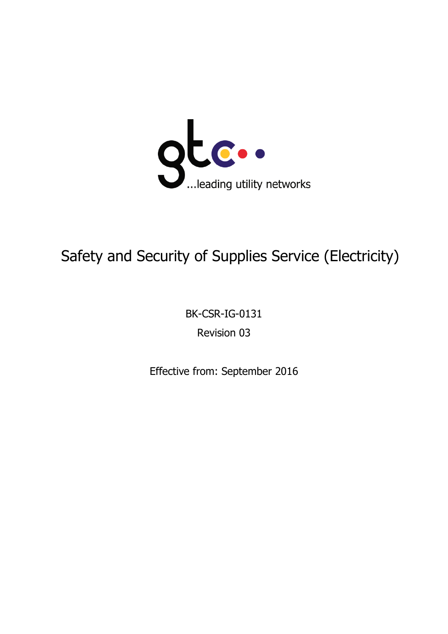

# Safety and Security of Supplies Service (Electricity)

BK-CSR-IG-0131

Revision 03

Effective from: September 2016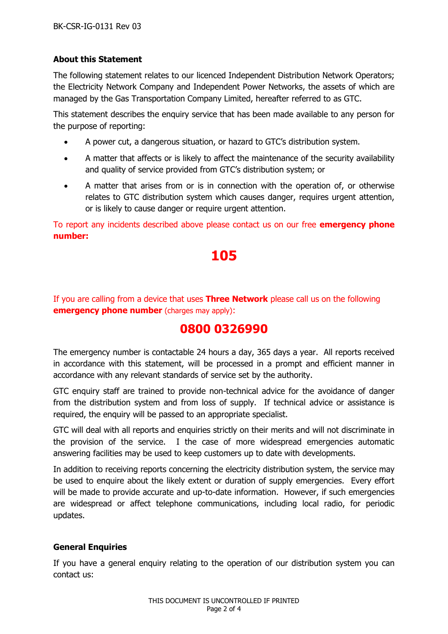### **About this Statement**

The following statement relates to our licenced Independent Distribution Network Operators; the Electricity Network Company and Independent Power Networks, the assets of which are managed by the Gas Transportation Company Limited, hereafter referred to as GTC.

This statement describes the enquiry service that has been made available to any person for the purpose of reporting:

- A power cut, a dangerous situation, or hazard to GTC's distribution system.
- A matter that affects or is likely to affect the maintenance of the security availability and quality of service provided from GTC's distribution system; or
- A matter that arises from or is in connection with the operation of, or otherwise relates to GTC distribution system which causes danger, requires urgent attention, or is likely to cause danger or require urgent attention.

To report any incidents described above please contact us on our free **emergency phone number:**

# **105**

If you are calling from a device that uses **Three Network** please call us on the following **emergency phone number** (charges may apply):

# **0800 0326990**

The emergency number is contactable 24 hours a day, 365 days a year. All reports received in accordance with this statement, will be processed in a prompt and efficient manner in accordance with any relevant standards of service set by the authority.

GTC enquiry staff are trained to provide non-technical advice for the avoidance of danger from the distribution system and from loss of supply. If technical advice or assistance is required, the enquiry will be passed to an appropriate specialist.

GTC will deal with all reports and enquiries strictly on their merits and will not discriminate in the provision of the service. I the case of more widespread emergencies automatic answering facilities may be used to keep customers up to date with developments.

In addition to receiving reports concerning the electricity distribution system, the service may be used to enquire about the likely extent or duration of supply emergencies. Every effort will be made to provide accurate and up-to-date information. However, if such emergencies are widespread or affect telephone communications, including local radio, for periodic updates.

## **General Enquiries**

If you have a general enquiry relating to the operation of our distribution system you can contact us: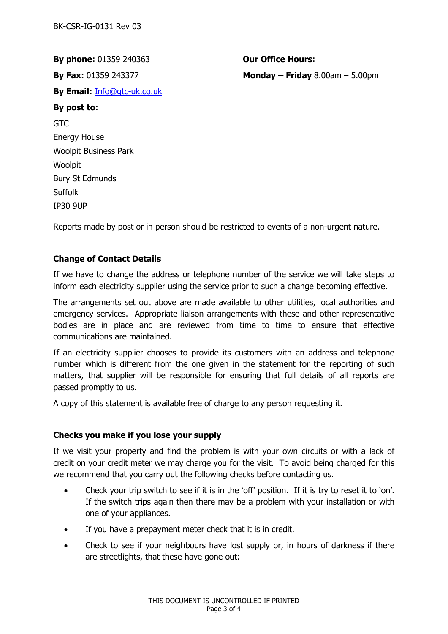**By phone:** 01359 240363 **Our Office Hours: By Email:** [Info@gtc-uk.co.uk](mailto:Info@gtc-uk.co.uk) **By post to:**  GTC Energy House Woolpit Business Park Woolpit Bury St Edmunds Suffolk IP30 9UP

**By Fax:** 01359 243377 **Monday – Friday** 8.00am – 5.00pm

Reports made by post or in person should be restricted to events of a non-urgent nature.

#### **Change of Contact Details**

If we have to change the address or telephone number of the service we will take steps to inform each electricity supplier using the service prior to such a change becoming effective.

The arrangements set out above are made available to other utilities, local authorities and emergency services. Appropriate liaison arrangements with these and other representative bodies are in place and are reviewed from time to time to ensure that effective communications are maintained.

If an electricity supplier chooses to provide its customers with an address and telephone number which is different from the one given in the statement for the reporting of such matters, that supplier will be responsible for ensuring that full details of all reports are passed promptly to us.

A copy of this statement is available free of charge to any person requesting it.

#### **Checks you make if you lose your supply**

If we visit your property and find the problem is with your own circuits or with a lack of credit on your credit meter we may charge you for the visit. To avoid being charged for this we recommend that you carry out the following checks before contacting us.

- Check your trip switch to see if it is in the 'off' position. If it is try to reset it to 'on'. If the switch trips again then there may be a problem with your installation or with one of your appliances.
- If you have a prepayment meter check that it is in credit.
- Check to see if your neighbours have lost supply or, in hours of darkness if there are streetlights, that these have gone out: